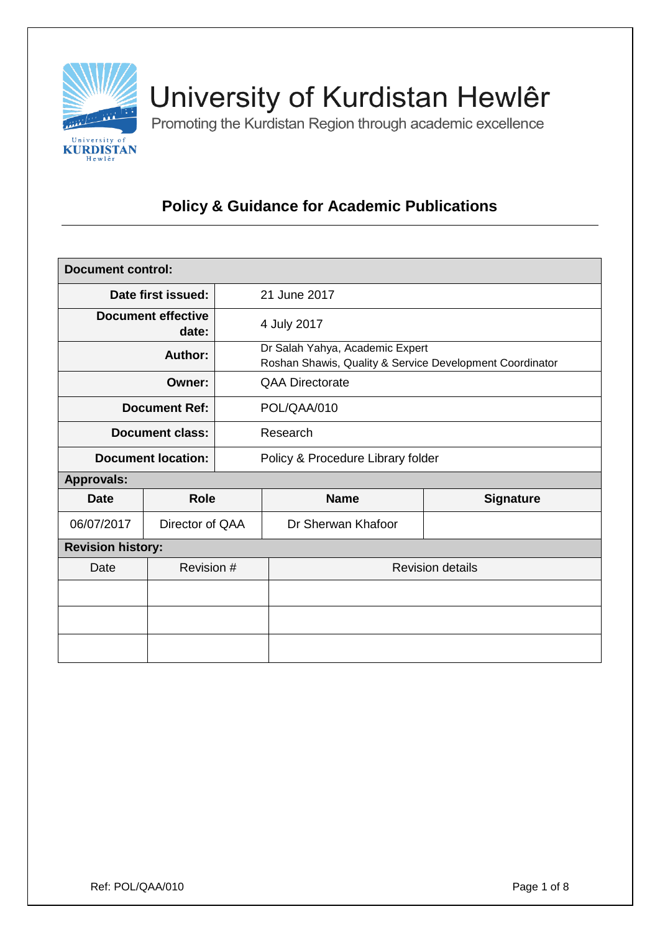

# University of Kurdistan Hewlêr

Promoting the Kurdistan Region through academic excellence

# **Policy & Guidance for Academic Publications**

| <b>Document control:</b>           |                 |                                                                                             |                         |                  |  |
|------------------------------------|-----------------|---------------------------------------------------------------------------------------------|-------------------------|------------------|--|
| Date first issued:                 |                 | 21 June 2017                                                                                |                         |                  |  |
| <b>Document effective</b><br>date: |                 | 4 July 2017                                                                                 |                         |                  |  |
| <b>Author:</b>                     |                 | Dr Salah Yahya, Academic Expert<br>Roshan Shawis, Quality & Service Development Coordinator |                         |                  |  |
| Owner:                             |                 | <b>QAA Directorate</b>                                                                      |                         |                  |  |
| <b>Document Ref:</b>               |                 | POL/QAA/010                                                                                 |                         |                  |  |
| <b>Document class:</b>             |                 | Research                                                                                    |                         |                  |  |
| <b>Document location:</b>          |                 | Policy & Procedure Library folder                                                           |                         |                  |  |
| <b>Approvals:</b>                  |                 |                                                                                             |                         |                  |  |
| <b>Date</b>                        | <b>Role</b>     |                                                                                             | <b>Name</b>             | <b>Signature</b> |  |
| 06/07/2017                         | Director of QAA |                                                                                             | Dr Sherwan Khafoor      |                  |  |
| <b>Revision history:</b>           |                 |                                                                                             |                         |                  |  |
| Date                               | Revision #      |                                                                                             | <b>Revision details</b> |                  |  |
|                                    |                 |                                                                                             |                         |                  |  |
|                                    |                 |                                                                                             |                         |                  |  |
|                                    |                 |                                                                                             |                         |                  |  |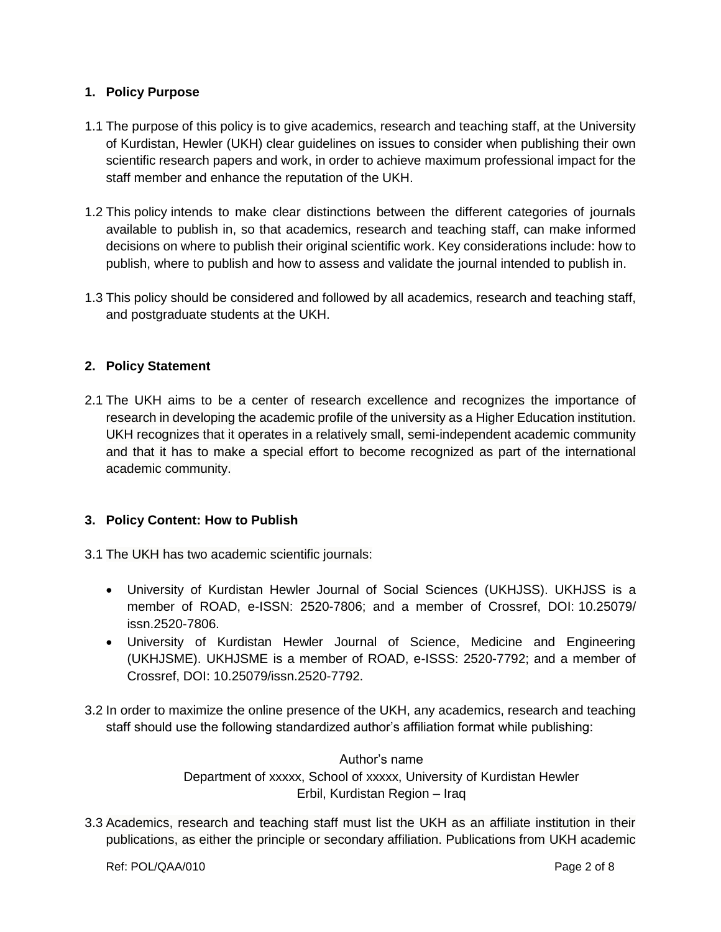## **1. Policy Purpose**

- 1.1 The purpose of this policy is to give academics, research and teaching staff, at the University of Kurdistan, Hewler (UKH) clear guidelines on issues to consider when publishing their own scientific research papers and work, in order to achieve maximum professional impact for the staff member and enhance the reputation of the UKH.
- 1.2 This policy intends to make clear distinctions between the different categories of journals available to publish in, so that academics, research and teaching staff, can make informed decisions on where to publish their original scientific work. Key considerations include: how to publish, where to publish and how to assess and validate the journal intended to publish in.
- 1.3 This policy should be considered and followed by all academics, research and teaching staff, and postgraduate students at the UKH.

### **2. Policy Statement**

2.1 The UKH aims to be a center of research excellence and recognizes the importance of research in developing the academic profile of the university as a Higher Education institution. UKH recognizes that it operates in a relatively small, semi-independent academic community and that it has to make a special effort to become recognized as part of the international academic community.

#### **3. Policy Content: How to Publish**

- 3.1 The UKH has two academic scientific journals:
	- University of Kurdistan Hewler Journal of Social Sciences (UKHJSS). UKHJSS is a member of ROAD, e-ISSN: 2520-7806; and a member of Crossref, DOI: 10.25079/ issn.2520-7806.
	- University of Kurdistan Hewler Journal of Science, Medicine and Engineering (UKHJSME). UKHJSME is a member of ROAD, e-ISSS: 2520-7792; and a member of Crossref, DOI: 10.25079/issn.2520-7792.
- 3.2 In order to maximize the online presence of the UKH, any academics, research and teaching staff should use the following standardized author's affiliation format while publishing:

Author's name Department of xxxxx, School of xxxxx, University of Kurdistan Hewler Erbil, Kurdistan Region – Iraq

3.3 Academics, research and teaching staff must list the UKH as an affiliate institution in their publications, as either the principle or secondary affiliation. Publications from UKH academic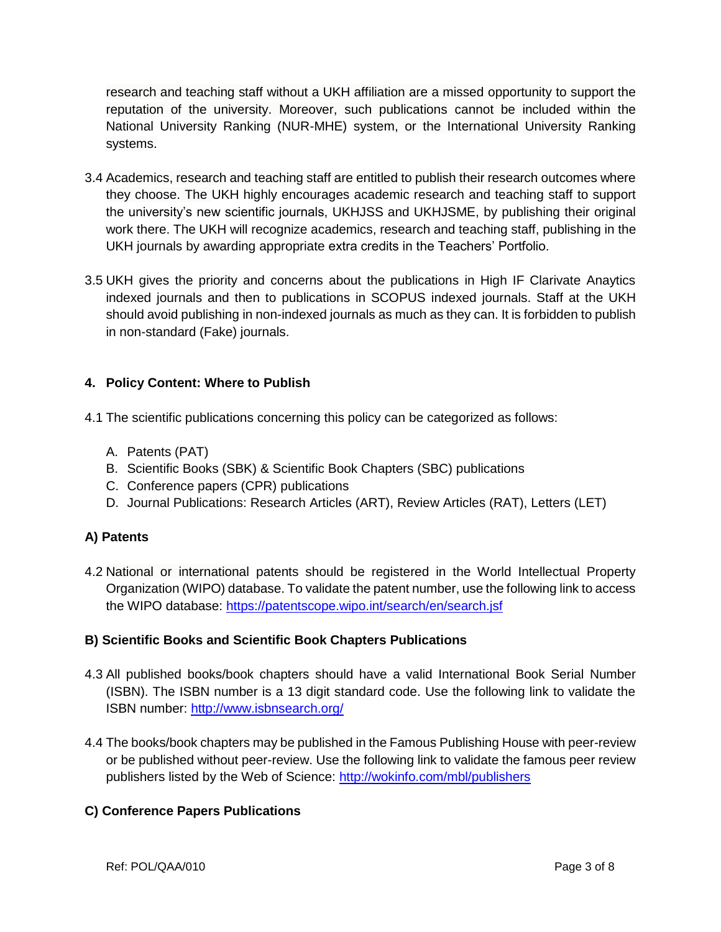research and teaching staff without a UKH affiliation are a missed opportunity to support the reputation of the university. Moreover, such publications cannot be included within the National University Ranking (NUR-MHE) system, or the International University Ranking systems.

- 3.4 Academics, research and teaching staff are entitled to publish their research outcomes where they choose. The UKH highly encourages academic research and teaching staff to support the university's new scientific journals, UKHJSS and UKHJSME, by publishing their original work there. The UKH will recognize academics, research and teaching staff, publishing in the UKH journals by awarding appropriate extra credits in the Teachers' Portfolio.
- 3.5 UKH gives the priority and concerns about the publications in High IF Clarivate Anaytics indexed journals and then to publications in SCOPUS indexed journals. Staff at the UKH should avoid publishing in non-indexed journals as much as they can. It is forbidden to publish in non-standard (Fake) journals.

# **4. Policy Content: Where to Publish**

- 4.1 The scientific publications concerning this policy can be categorized as follows:
	- A. Patents (PAT)
	- B. Scientific Books (SBK) & Scientific Book Chapters (SBC) publications
	- C. Conference papers (CPR) publications
	- D. Journal Publications: Research Articles (ART), Review Articles (RAT), Letters (LET)

# **A) Patents**

4.2 National or international patents should be registered in the World Intellectual Property Organization (WIPO) database. To validate the patent number, use the following link to access the WIPO database:<https://patentscope.wipo.int/search/en/search.jsf>

# **B) Scientific Books and Scientific Book Chapters Publications**

- 4.3 All published books/book chapters should have a valid International Book Serial Number (ISBN). The ISBN number is a 13 digit standard code. Use the following link to validate the ISBN number:<http://www.isbnsearch.org/>
- 4.4 The books/book chapters may be published in the Famous Publishing House with peer-review or be published without peer-review. Use the following link to validate the famous peer review publishers listed by the Web of Science:<http://wokinfo.com/mbl/publishers>

# **C) Conference Papers Publications**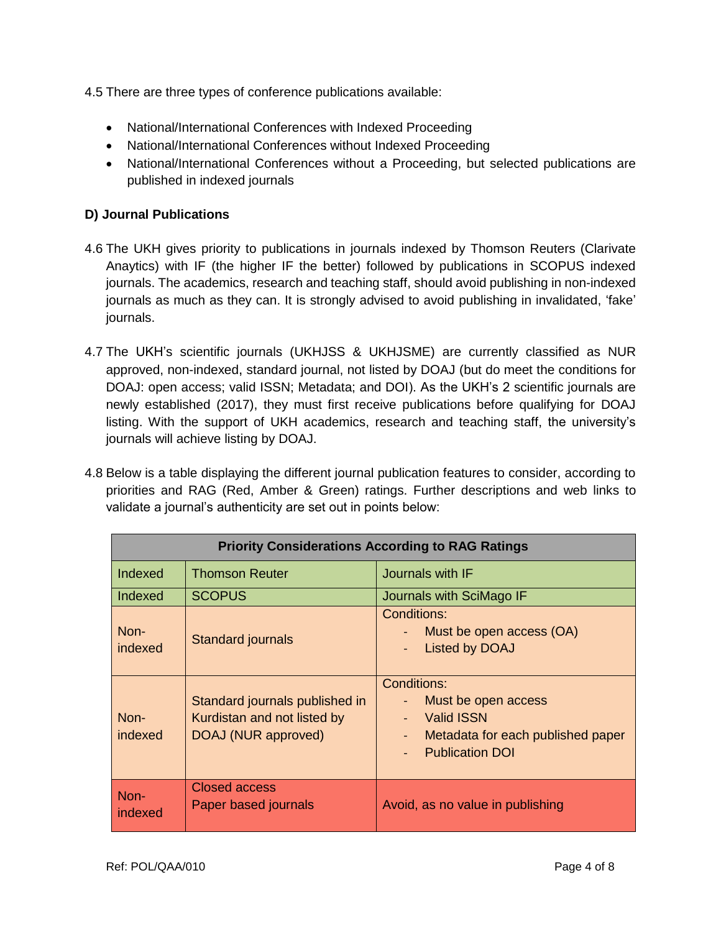4.5 There are three types of conference publications available:

- National/International Conferences with Indexed Proceeding
- National/International Conferences without Indexed Proceeding
- National/International Conferences without a Proceeding, but selected publications are published in indexed journals

## **D) Journal Publications**

- 4.6 The UKH gives priority to publications in journals indexed by Thomson Reuters (Clarivate Anaytics) with IF (the higher IF the better) followed by publications in SCOPUS indexed journals. The academics, research and teaching staff, should avoid publishing in non-indexed journals as much as they can. It is strongly advised to avoid publishing in invalidated, 'fake' journals.
- 4.7 The UKH's scientific journals (UKHJSS & UKHJSME) are currently classified as NUR approved, non-indexed, standard journal, not listed by DOAJ (but do meet the conditions for DOAJ: open access; valid ISSN; Metadata; and DOI). As the UKH's 2 scientific journals are newly established (2017), they must first receive publications before qualifying for DOAJ listing. With the support of UKH academics, research and teaching staff, the university's journals will achieve listing by DOAJ.
- 4.8 Below is a table displaying the different journal publication features to consider, according to priorities and RAG (Red, Amber & Green) ratings. Further descriptions and web links to validate a journal's authenticity are set out in points below:

| <b>Priority Considerations According to RAG Ratings</b> |                                                                                      |                                                                                                                        |  |  |
|---------------------------------------------------------|--------------------------------------------------------------------------------------|------------------------------------------------------------------------------------------------------------------------|--|--|
| Indexed                                                 | <b>Thomson Reuter</b>                                                                | Journals with IF                                                                                                       |  |  |
| Indexed                                                 | <b>SCOPUS</b>                                                                        | Journals with SciMago IF                                                                                               |  |  |
| Non-<br>indexed                                         | <b>Standard journals</b>                                                             | Conditions:<br>Must be open access (OA)<br><b>Listed by DOAJ</b>                                                       |  |  |
| Non-<br>indexed                                         | Standard journals published in<br>Kurdistan and not listed by<br>DOAJ (NUR approved) | Conditions:<br>Must be open access<br><b>Valid ISSN</b><br>Metadata for each published paper<br><b>Publication DOI</b> |  |  |
| Non-<br>indexed                                         | Closed access<br>Paper based journals                                                | Avoid, as no value in publishing                                                                                       |  |  |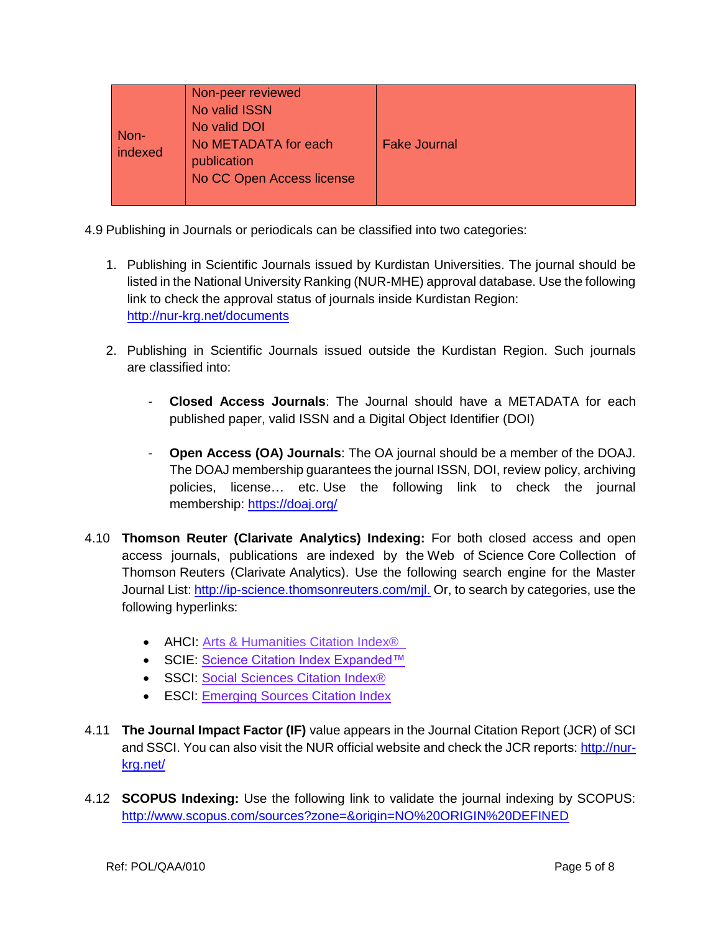| Non-<br>indexed | Non-peer reviewed<br>No valid ISSN<br>No valid DOI<br>No METADATA for each<br>publication<br>No CC Open Access license | <b>Fake Journal</b> |
|-----------------|------------------------------------------------------------------------------------------------------------------------|---------------------|
|-----------------|------------------------------------------------------------------------------------------------------------------------|---------------------|

4.9 Publishing in Journals or periodicals can be classified into two categories:

- 1. Publishing in Scientific Journals issued by Kurdistan Universities. The journal should be listed in the National University Ranking (NUR-MHE) approval database. Use the following link to check the approval status of journals inside Kurdistan Region: <http://nur-krg.net/documents>
- 2. Publishing in Scientific Journals issued outside the Kurdistan Region. Such journals are classified into:
	- **Closed Access Journals**: The Journal should have a METADATA for each published paper, valid ISSN and a Digital Object Identifier (DOI)
	- **Open Access (OA) Journals**: The OA journal should be a member of the DOAJ. The DOAJ membership guarantees the journal ISSN, DOI, review policy, archiving policies, license… etc. Use the following link to check the journal membership: <https://doaj.org/>
- 4.10 **Thomson Reuter (Clarivate Analytics) Indexing:** For both closed access and open access journals, publications are indexed by the Web of Science Core Collection of Thomson Reuters (Clarivate Analytics). Use the following search engine for the Master Journal List: [http://ip-science.thomsonreuters.com/mjl.](http://ip-science.thomsonreuters.com/mjl) Or, to search by categories, use the following hyperlinks:
	- AHCI: Arts & Humanities Citation Index<sup>®</sup>
	- SCIE: [Science Citation Index Expanded™](http://ip-science.thomsonreuters.com/cgi-bin/jrnlst/jloptions.cgi?PC=D)
	- SSCI: [Social Sciences Citation Index®](http://ip-science.thomsonreuters.com/cgi-bin/jrnlst/jloptions.cgi?PC=SS)
	- **ESCI: [Emerging Sources Citation Index](http://ip-science.thomsonreuters.com/cgi-bin/jrnlst/jloptions.cgi?PC=EX)**
- 4.11 **The Journal Impact Factor (IF)** value appears in the Journal Citation Report (JCR) of SCI and SSCI. You can also visit the NUR official website and check the JCR reports: [http://nur](http://nur-krg.net/)[krg.net/](http://nur-krg.net/)
- 4.12 **SCOPUS Indexing:** Use the following link to validate the journal indexing by SCOPUS: <http://www.scopus.com/sources?zone=&origin=NO%20ORIGIN%20DEFINED>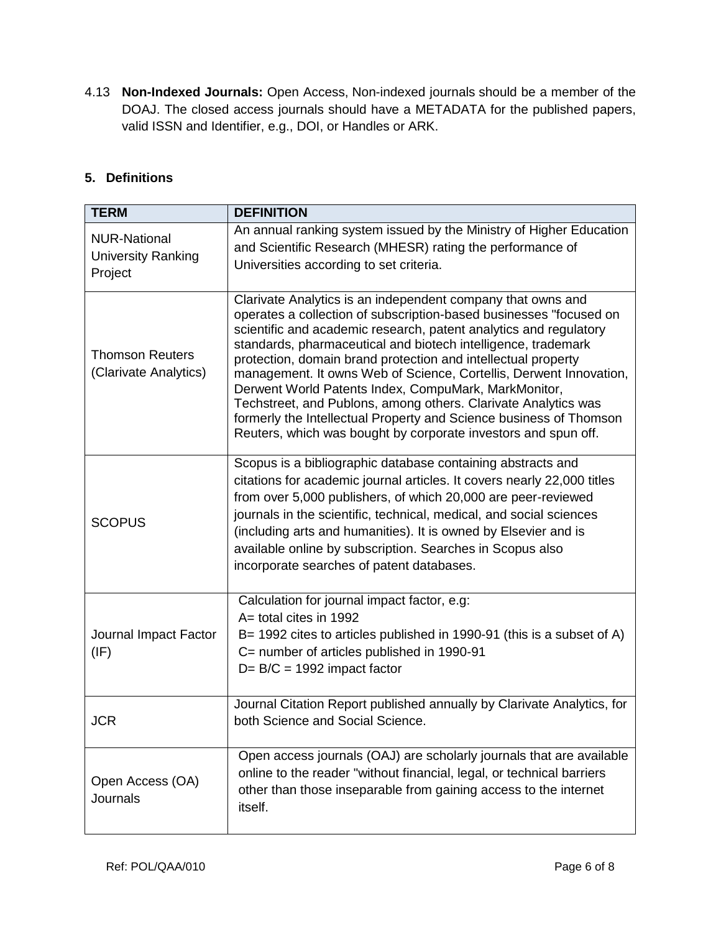4.13 **Non-Indexed Journals:** Open Access, Non-indexed journals should be a member of the DOAJ. The closed access journals should have a METADATA for the published papers, valid ISSN and Identifier, e.g., DOI, or Handles or ARK.

# **5. Definitions**

| <b>TERM</b>                                                 | <b>DEFINITION</b>                                                                                                                                                                                                                                                                                                                                                                                                                                                                                                                                                                                                                                                                |
|-------------------------------------------------------------|----------------------------------------------------------------------------------------------------------------------------------------------------------------------------------------------------------------------------------------------------------------------------------------------------------------------------------------------------------------------------------------------------------------------------------------------------------------------------------------------------------------------------------------------------------------------------------------------------------------------------------------------------------------------------------|
| <b>NUR-National</b><br><b>University Ranking</b><br>Project | An annual ranking system issued by the Ministry of Higher Education<br>and Scientific Research (MHESR) rating the performance of<br>Universities according to set criteria.                                                                                                                                                                                                                                                                                                                                                                                                                                                                                                      |
| <b>Thomson Reuters</b><br>(Clarivate Analytics)             | Clarivate Analytics is an independent company that owns and<br>operates a collection of subscription-based businesses "focused on<br>scientific and academic research, patent analytics and regulatory<br>standards, pharmaceutical and biotech intelligence, trademark<br>protection, domain brand protection and intellectual property<br>management. It owns Web of Science, Cortellis, Derwent Innovation,<br>Derwent World Patents Index, CompuMark, MarkMonitor,<br>Techstreet, and Publons, among others. Clarivate Analytics was<br>formerly the Intellectual Property and Science business of Thomson<br>Reuters, which was bought by corporate investors and spun off. |
| <b>SCOPUS</b>                                               | Scopus is a bibliographic database containing abstracts and<br>citations for academic journal articles. It covers nearly 22,000 titles<br>from over 5,000 publishers, of which 20,000 are peer-reviewed<br>journals in the scientific, technical, medical, and social sciences<br>(including arts and humanities). It is owned by Elsevier and is<br>available online by subscription. Searches in Scopus also<br>incorporate searches of patent databases.                                                                                                                                                                                                                      |
| Journal Impact Factor<br>(IF)                               | Calculation for journal impact factor, e.g:<br>A= total cites in 1992<br>B= 1992 cites to articles published in 1990-91 (this is a subset of A)<br>C= number of articles published in 1990-91<br>$D = B/C = 1992$ impact factor                                                                                                                                                                                                                                                                                                                                                                                                                                                  |
| <b>JCR</b>                                                  | Journal Citation Report published annually by Clarivate Analytics, for<br>both Science and Social Science.                                                                                                                                                                                                                                                                                                                                                                                                                                                                                                                                                                       |
| Open Access (OA)<br><b>Journals</b>                         | Open access journals (OAJ) are scholarly journals that are available<br>online to the reader "without financial, legal, or technical barriers<br>other than those inseparable from gaining access to the internet<br>itself.                                                                                                                                                                                                                                                                                                                                                                                                                                                     |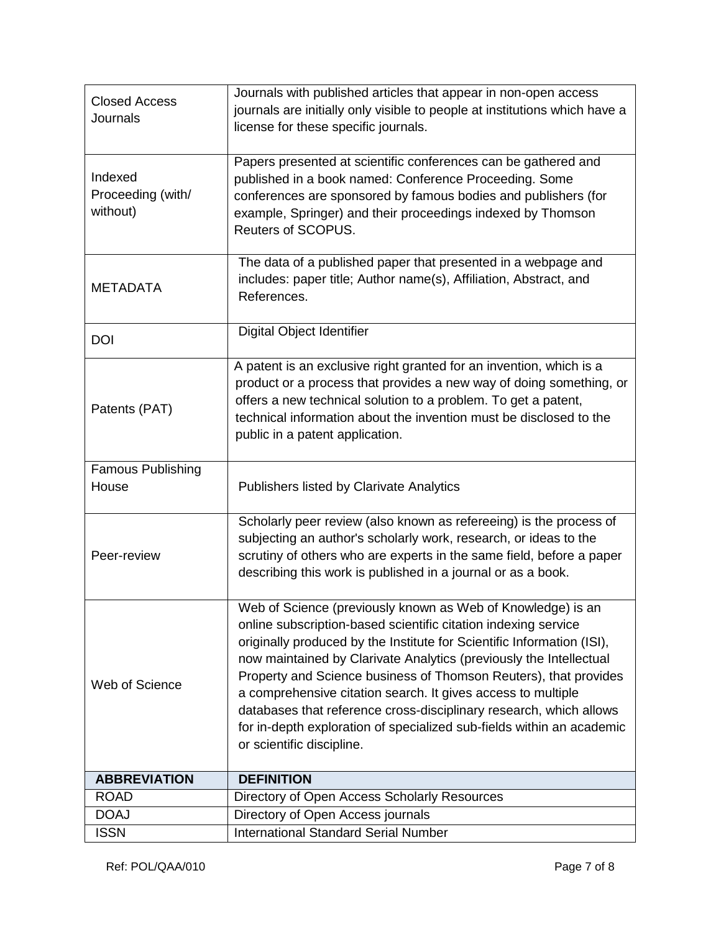| <b>Closed Access</b><br>Journals         | Journals with published articles that appear in non-open access<br>journals are initially only visible to people at institutions which have a<br>license for these specific journals.                                                                                                                                                                                                                                                                                                                                                                                                         |
|------------------------------------------|-----------------------------------------------------------------------------------------------------------------------------------------------------------------------------------------------------------------------------------------------------------------------------------------------------------------------------------------------------------------------------------------------------------------------------------------------------------------------------------------------------------------------------------------------------------------------------------------------|
| Indexed<br>Proceeding (with/<br>without) | Papers presented at scientific conferences can be gathered and<br>published in a book named: Conference Proceeding. Some<br>conferences are sponsored by famous bodies and publishers (for<br>example, Springer) and their proceedings indexed by Thomson<br>Reuters of SCOPUS.                                                                                                                                                                                                                                                                                                               |
| <b>METADATA</b>                          | The data of a published paper that presented in a webpage and<br>includes: paper title; Author name(s), Affiliation, Abstract, and<br>References.                                                                                                                                                                                                                                                                                                                                                                                                                                             |
| <b>DOI</b>                               | Digital Object Identifier                                                                                                                                                                                                                                                                                                                                                                                                                                                                                                                                                                     |
| Patents (PAT)                            | A patent is an exclusive right granted for an invention, which is a<br>product or a process that provides a new way of doing something, or<br>offers a new technical solution to a problem. To get a patent,<br>technical information about the invention must be disclosed to the<br>public in a patent application.                                                                                                                                                                                                                                                                         |
| <b>Famous Publishing</b><br>House        | <b>Publishers listed by Clarivate Analytics</b>                                                                                                                                                                                                                                                                                                                                                                                                                                                                                                                                               |
| Peer-review                              | Scholarly peer review (also known as refereeing) is the process of<br>subjecting an author's scholarly work, research, or ideas to the<br>scrutiny of others who are experts in the same field, before a paper<br>describing this work is published in a journal or as a book.                                                                                                                                                                                                                                                                                                                |
| Web of Science                           | Web of Science (previously known as Web of Knowledge) is an<br>online subscription-based scientific citation indexing service<br>originally produced by the Institute for Scientific Information (ISI),<br>now maintained by Clarivate Analytics (previously the Intellectual<br>Property and Science business of Thomson Reuters), that provides<br>a comprehensive citation search. It gives access to multiple<br>databases that reference cross-disciplinary research, which allows<br>for in-depth exploration of specialized sub-fields within an academic<br>or scientific discipline. |
| <b>ABBREVIATION</b>                      | <b>DEFINITION</b>                                                                                                                                                                                                                                                                                                                                                                                                                                                                                                                                                                             |
| <b>ROAD</b>                              | Directory of Open Access Scholarly Resources                                                                                                                                                                                                                                                                                                                                                                                                                                                                                                                                                  |
| <b>DOAJ</b>                              | Directory of Open Access journals                                                                                                                                                                                                                                                                                                                                                                                                                                                                                                                                                             |
| <b>ISSN</b>                              | <b>International Standard Serial Number</b>                                                                                                                                                                                                                                                                                                                                                                                                                                                                                                                                                   |